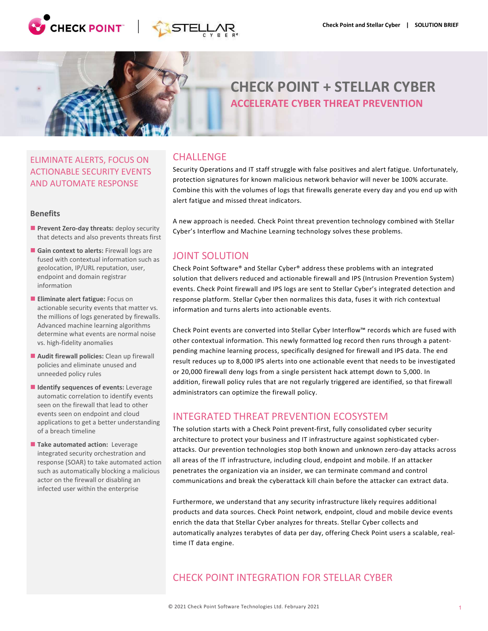

CHECK POINT + STELLAR CYBER ACCELERATE CYBER THREAT PREVENTION

# ELIMINATE ALERTS, FOCUS ON ACTIONABLE SECURITY EVENTS AND AUTOMATE RESPONSE

#### Benefits

- Prevent Zero-day threats: deploy security that detects and also prevents threats first
- Gain context to alerts: Firewall logs are fused with contextual information such as geolocation, IP/URL reputation, user, endpoint and domain registrar information
- **Eliminate alert fatigue:** Focus on actionable security events that matter vs. the millions of logs generated by firewalls. Advanced machine learning algorithms determine what events are normal noise vs. high-fidelity anomalies
- **Audit firewall policies:** Clean up firewall policies and eliminate unused and unneeded policy rules
- I Identify sequences of events: Leverage automatic correlation to identify events seen on the firewall that lead to other events seen on endpoint and cloud applications to get a better understanding of a breach timeline
- Take automated action: Leverage integrated security orchestration and response (SOAR) to take automated action such as automatically blocking a malicious actor on the firewall or disabling an infected user within the enterprise

### **CHALLENGE**

Security Operations and IT staff struggle with false positives and alert fatigue. Unfortunately, protection signatures for known malicious network behavior will never be 100% accurate. Combine this with the volumes of logs that firewalls generate every day and you end up with alert fatigue and missed threat indicators.

A new approach is needed. Check Point threat prevention technology combined with Stellar Cyber's Interflow and Machine Learning technology solves these problems.

# JOINT SOLUTION

Check Point Software® and Stellar Cyber® address these problems with an integrated solution that delivers reduced and actionable firewall and IPS (Intrusion Prevention System) events. Check Point firewall and IPS logs are sent to Stellar Cyber's integrated detection and response platform. Stellar Cyber then normalizes this data, fuses it with rich contextual information and turns alerts into actionable events.

Check Point events are converted into Stellar Cyber Interflow™ records which are fused with other contextual information. This newly formatted log record then runs through a patentpending machine learning process, specifically designed for firewall and IPS data. The end result reduces up to 8,000 IPS alerts into one actionable event that needs to be investigated or 20,000 firewall deny logs from a single persistent hack attempt down to 5,000. In addition, firewall policy rules that are not regularly triggered are identified, so that firewall administrators can optimize the firewall policy.

#### INTEGRATED THREAT PREVENTION ECOSYSTEM

The solution starts with a Check Point prevent-first, fully consolidated cyber security architecture to protect your business and IT infrastructure against sophisticated cyberattacks. Our prevention technologies stop both known and unknown zero-day attacks across all areas of the IT infrastructure, including cloud, endpoint and mobile. If an attacker penetrates the organization via an insider, we can terminate command and control communications and break the cyberattack kill chain before the attacker can extract data.

Furthermore, we understand that any security infrastructure likely requires additional products and data sources. Check Point network, endpoint, cloud and mobile device events enrich the data that Stellar Cyber analyzes for threats. Stellar Cyber collects and automatically analyzes terabytes of data per day, offering Check Point users a scalable, realtime IT data engine.

# CHECK POINT INTEGRATION FOR STELLAR CYBER